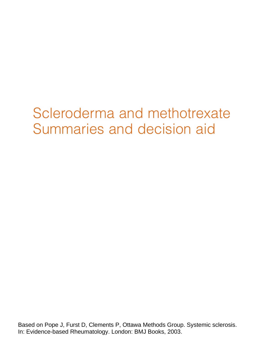# Scleroderma and methotrexate Summaries and decision aid

Based on Pope J, Furst D, Clements P, Ottawa Methods Group. Systemic sclerosis. In: Evidence-based Rheumatology. London: BMJ Books, 2003.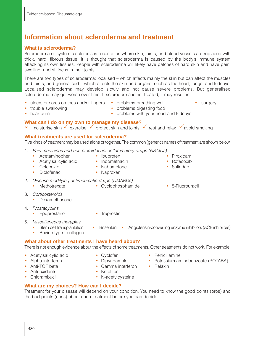# **Information about scleroderma and treatment**

## **What is scleroderma?**

Scleroderma or systemic sclerosis is a condition where skin, joints, and blood vessels are replaced with thick, hard, fibrous tissue. It is thought that scleroderma is caused by the body's immune system attacking its own tissues. People with scleroderma will likely have patches of hard skin and have pain, swelling, and stiffness in their joints.

There are two types of scleroderma: localised – which affects mainly the skin but can affect the muscles and joints; and generalised – which affects the skin and organs, such as the heart, lungs, and kidneys. Localised scleroderma may develop slowly and not cause severe problems. But generalised scleroderma may get worse over time. If scleroderma is not treated, it may result in:

- ulcers or sores on toes and/or fingers problems breathing well surgery trouble swallowing **•** problems digesting food
- 
- heartburn problems with your heart and kidneys
- **What can I do on my own to manage my disease?**
- moisturise skin  $\checkmark$  exercise  $\checkmark$  protect skin and joints  $\checkmark$  rest and relax  $\checkmark$  avoid smoking

#### **What treatments are used for scleroderma?**

Five kinds of treatment may be used alone or together. The common (generic) names of treatment are shown below.

- 1. Pain medicines and non-steroidal anti-inflammatory drugs (NSAIDs)
	- Acetaminophen Ibuprofen Piroxicam
	- Acetylsalicylic acid Indomethacin Rofecoxib
	- Celecoxib Nabumetone Sulindac
		-
	- Diclofenac Naproxen
- 
- 2. Disease modifying antirheumatic drugs (DMARDs)
	-
- 3. Corticosteroids
	- Dexamethasone
- 4. Prostacyclins
	- Epoprostanol Treprostinil
- 
- 5. Miscellaneous therapies
	- Stem cell transplantation Bosentan Angiotensin-converting enzyme inhibitors (ACE inhibitors)
	- Bovine type I collagen
- 

## **What about other treatments I have heard about?**

There is not enough evidence about the effects of some treatments. Other treatments do not work. For example:

- Acetylsalicylic acid Cyclofenil Penicillamine
- Alpha interferon Dipyridamole Potassium aminobenzoate (POTABA)
- Anti-TGF beta Gamma interferon Relaxin
- Anti-oxidants Ketotifen
- 
- 
- 
- -
- Chlorambucil N-acetylcysteine

## **What are my choices? How can I decide?**

Treatment for your disease will depend on your condition. You need to know the good points (pros) and the bad points (cons) about each treatment before you can decide.

- 
- 
- 
- 
- 
- 
- Methotrexate Cyclophosphamide 5-Fluorouracil
	-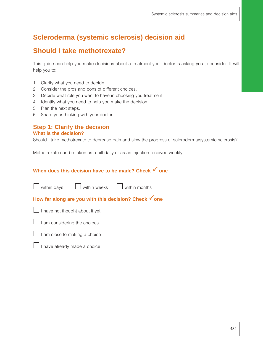## **Scleroderma (systemic sclerosis) decision aid**

## **Should I take methotrexate?**

This guide can help you make decisions about a treatment your doctor is asking you to consider. It will help you to:

- 1. Clarify what you need to decide.
- 2. Consider the pros and cons of different choices.
- 3. Decide what role you want to have in choosing you treatment.
- 4. Identify what you need to help you make the decision.
- 5. Plan the next steps.
- 6. Share your thinking with your doctor.

#### **Step 1: Clarify the decision What is the decision?**

Should I take methotrexate to decrease pain and slow the progress of scleroderma/systemic sclerosis?

Methotrexate can be taken as a pill daily or as an injection received weekly.

## **When does this decision have to be made? Check √ one**



## **How far along are you with this decision? Check √ one**







I have already made a choice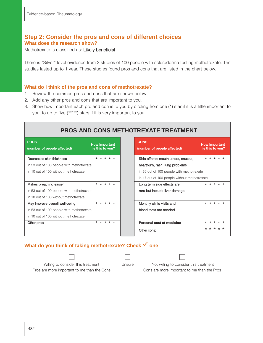## **Step 2: Consider the pros and cons of different choices What does the research show?**

Methotrexate is classified as: Likely beneficial

There is "Silver" level evidence from 2 studies of 100 people with scleroderma testing methotrexate. The studies lasted up to 1 year. These studies found pros and cons that are listed in the chart below.

#### **What do I think of the pros and cons of methotrexate?**

- 1. Review the common pros and cons that are shown below.
- 2. Add any other pros and cons that are important to you.
- 3. Show how important each pro and con is to you by circling from one (\*) star if it is a little important to you, to up to five (\*\*\*\*\*) stars if it is very important to you.

| <b>PROS AND CONS METHOTREXATE TREATMENT</b> |                                         |  |  |  |  |
|---------------------------------------------|-----------------------------------------|--|--|--|--|
| <b>PROS</b><br>(number of people affected)  | <b>How important</b><br>is this to you? |  |  |  |  |
| Decreases skin thickness                    | $* * * * * *$                           |  |  |  |  |
| in 53 out of 100 people with methotrexate   |                                         |  |  |  |  |
| in 10 out of 100 without methotrexate       |                                         |  |  |  |  |
|                                             |                                         |  |  |  |  |
| Makes breathing easier                      | * * * * *                               |  |  |  |  |
| in 53 out of 100 people with methotrexate   |                                         |  |  |  |  |
| in 10 out of 100 without methotrexate       |                                         |  |  |  |  |
| May improve overall well-being              | $* * * * * *$                           |  |  |  |  |
| in 53 out of 100 people with methotrexate   |                                         |  |  |  |  |
| in 10 out of 100 without methotrexate       |                                         |  |  |  |  |
| Other pros:                                 | * * * * *                               |  |  |  |  |
|                                             |                                         |  |  |  |  |

## **What do you think of taking methotrexate? Check √ one**



Pros are more important to me than the Cons Cons are more important to me than the Pros



Willing to consider this treatment Unsure Not willing to consider this treatment